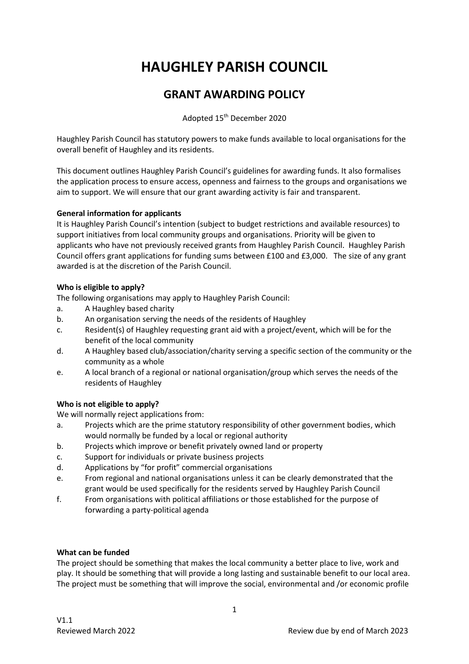# **HAUGHLEY PARISH COUNCIL**

# **GRANT AWARDING POLICY**

Adopted 15th December 2020

Haughley Parish Council has statutory powers to make funds available to local organisations for the overall benefit of Haughley and its residents.

This document outlines Haughley Parish Council's guidelines for awarding funds. It also formalises the application process to ensure access, openness and fairness to the groups and organisations we aim to support. We will ensure that our grant awarding activity is fair and transparent.

# **General information for applicants**

It is Haughley Parish Council's intention (subject to budget restrictions and available resources) to support initiatives from local community groups and organisations. Priority will be given to applicants who have not previously received grants from Haughley Parish Council. Haughley Parish Council offers grant applications for funding sums between £100 and £3,000. The size of any grant awarded is at the discretion of the Parish Council.

# **Who is eligible to apply?**

The following organisations may apply to Haughley Parish Council:

- a. A Haughley based charity
- b. An organisation serving the needs of the residents of Haughley
- c. Resident(s) of Haughley requesting grant aid with a project/event, which will be for the benefit of the local community
- d. A Haughley based club/association/charity serving a specific section of the community or the community as a whole
- e. A local branch of a regional or national organisation/group which serves the needs of the residents of Haughley

# **Who is not eligible to apply?**

We will normally reject applications from:

- a. Projects which are the prime statutory responsibility of other government bodies, which would normally be funded by a local or regional authority
- b. Projects which improve or benefit privately owned land or property
- c. Support for individuals or private business projects
- d. Applications by "for profit" commercial organisations
- e. From regional and national organisations unless it can be clearly demonstrated that the grant would be used specifically for the residents served by Haughley Parish Council
- f. From organisations with political affiliations or those established for the purpose of forwarding a party-political agenda

# **What can be funded**

The project should be something that makes the local community a better place to live, work and play. It should be something that will provide a long lasting and sustainable benefit to our local area. The project must be something that will improve the social, environmental and /or economic profile